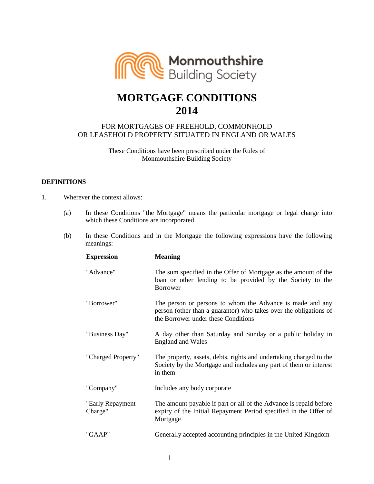

# **MORTGAGE CONDITIONS 2014**

# FOR MORTGAGES OF FREEHOLD, COMMONHOLD OR LEASEHOLD PROPERTY SITUATED IN ENGLAND OR WALES

These Conditions have been prescribed under the Rules of Monmouthshire Building Society

# **DEFINITIONS**

- 1. Wherever the context allows:
	- (a) In these Conditions "the Mortgage" means the particular mortgage or legal charge into which these Conditions are incorporated
	- (b) In these Conditions and in the Mortgage the following expressions have the following meanings:

| <b>Expression</b>            | <b>Meaning</b>                                                                                                                                                        |
|------------------------------|-----------------------------------------------------------------------------------------------------------------------------------------------------------------------|
| "Advance"                    | The sum specified in the Offer of Mortgage as the amount of the<br>loan or other lending to be provided by the Society to the<br><b>Borrower</b>                      |
| "Borrower"                   | The person or persons to whom the Advance is made and any<br>person (other than a guarantor) who takes over the obligations of<br>the Borrower under these Conditions |
| "Business Day"               | A day other than Saturday and Sunday or a public holiday in<br><b>England and Wales</b>                                                                               |
| "Charged Property"           | The property, assets, debts, rights and undertaking charged to the<br>Society by the Mortgage and includes any part of them or interest<br>in them                    |
| "Company"                    | Includes any body corporate                                                                                                                                           |
| "Early Repayment"<br>Charge" | The amount payable if part or all of the Advance is repaid before<br>expiry of the Initial Repayment Period specified in the Offer of<br>Mortgage                     |
| "GAAP"                       | Generally accepted accounting principles in the United Kingdom                                                                                                        |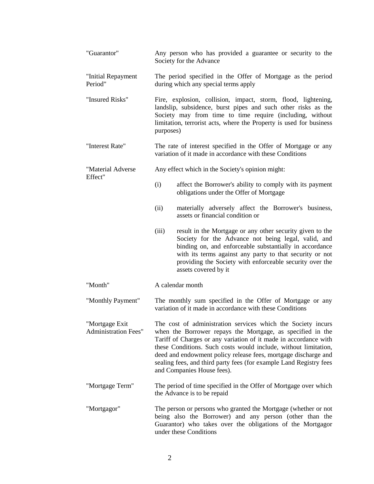| "Guarantor"                                   | Any person who has provided a guarantee or security to the<br>Society for the Advance                                                                                                                                                                                                                                                                                                                                                   |
|-----------------------------------------------|-----------------------------------------------------------------------------------------------------------------------------------------------------------------------------------------------------------------------------------------------------------------------------------------------------------------------------------------------------------------------------------------------------------------------------------------|
| "Initial Repayment<br>Period"                 | The period specified in the Offer of Mortgage as the period<br>during which any special terms apply                                                                                                                                                                                                                                                                                                                                     |
| "Insured Risks"                               | Fire, explosion, collision, impact, storm, flood, lightening,<br>landslip, subsidence, burst pipes and such other risks as the<br>Society may from time to time require (including, without<br>limitation, terrorist acts, where the Property is used for business<br>purposes)                                                                                                                                                         |
| "Interest Rate"                               | The rate of interest specified in the Offer of Mortgage or any<br>variation of it made in accordance with these Conditions                                                                                                                                                                                                                                                                                                              |
| "Material Adverse<br>Effect"                  | Any effect which in the Society's opinion might:                                                                                                                                                                                                                                                                                                                                                                                        |
|                                               | (i)<br>affect the Borrower's ability to comply with its payment<br>obligations under the Offer of Mortgage                                                                                                                                                                                                                                                                                                                              |
|                                               | (ii)<br>materially adversely affect the Borrower's business,<br>assets or financial condition or                                                                                                                                                                                                                                                                                                                                        |
|                                               | result in the Mortgage or any other security given to the<br>(iii)<br>Society for the Advance not being legal, valid, and<br>binding on, and enforceable substantially in accordance<br>with its terms against any party to that security or not<br>providing the Society with enforceable security over the<br>assets covered by it                                                                                                    |
| "Month"                                       | A calendar month                                                                                                                                                                                                                                                                                                                                                                                                                        |
| "Monthly Payment"                             | The monthly sum specified in the Offer of Mortgage or any<br>variation of it made in accordance with these Conditions                                                                                                                                                                                                                                                                                                                   |
| "Mortgage Exit<br><b>Administration Fees"</b> | The cost of administration services which the Society incurs<br>when the Borrower repays the Mortgage, as specified in the<br>Tariff of Charges or any variation of it made in accordance with<br>these Conditions. Such costs would include, without limitation,<br>deed and endowment policy release fees, mortgage discharge and<br>sealing fees, and third party fees (for example Land Registry fees<br>and Companies House fees). |
| "Mortgage Term"                               | The period of time specified in the Offer of Mortgage over which<br>the Advance is to be repaid                                                                                                                                                                                                                                                                                                                                         |
| "Mortgagor"                                   | The person or persons who granted the Mortgage (whether or not<br>being also the Borrower) and any person (other than the<br>Guarantor) who takes over the obligations of the Mortgagor<br>under these Conditions                                                                                                                                                                                                                       |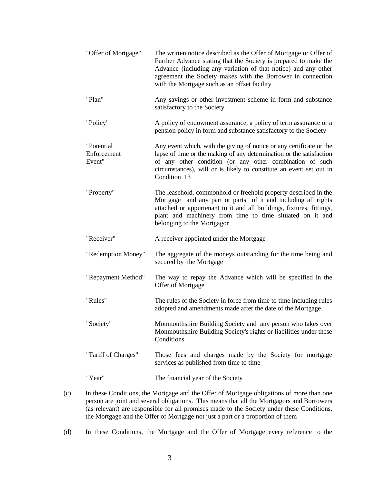| "Offer of Mortgage"                 | The written notice described as the Offer of Mortgage or Offer of<br>Further Advance stating that the Society is prepared to make the<br>Advance (including any variation of that notice) and any other<br>agreement the Society makes with the Borrower in connection<br>with the Mortgage such as an offset facility |
|-------------------------------------|------------------------------------------------------------------------------------------------------------------------------------------------------------------------------------------------------------------------------------------------------------------------------------------------------------------------|
| "Plan"                              | Any savings or other investment scheme in form and substance<br>satisfactory to the Society                                                                                                                                                                                                                            |
| "Policy"                            | A policy of endowment assurance, a policy of term assurance or a<br>pension policy in form and substance satisfactory to the Society                                                                                                                                                                                   |
| "Potential<br>Enforcement<br>Event" | Any event which, with the giving of notice or any certificate or the<br>lapse of time or the making of any determination or the satisfaction<br>of any other condition (or any other combination of such<br>circumstances), will or is likely to constitute an event set out in<br>Condition 13                        |
| "Property"                          | The leasehold, commonhold or freehold property described in the<br>Mortgage and any part or parts of it and including all rights<br>attached or appurtenant to it and all buildings, fixtures, fittings,<br>plant and machinery from time to time situated on it and<br>belonging to the Mortgagor                     |
| "Receiver"                          | A receiver appointed under the Mortgage                                                                                                                                                                                                                                                                                |
| "Redemption Money"                  | The aggregate of the moneys outstanding for the time being and<br>secured by the Mortgage                                                                                                                                                                                                                              |
| "Repayment Method"                  | The way to repay the Advance which will be specified in the<br>Offer of Mortgage                                                                                                                                                                                                                                       |
| "Rules"                             | The rules of the Society in force from time to time including rules<br>adopted and amendments made after the date of the Mortgage                                                                                                                                                                                      |
| "Society"                           | Monmouthshire Building Society and any person who takes over<br>Monmouthshire Building Society's rights or liabilities under these<br>Conditions                                                                                                                                                                       |
| "Tariff of Charges"                 | Those fees and charges made by the Society for mortgage<br>services as published from time to time                                                                                                                                                                                                                     |
| "Year"                              | The financial year of the Society                                                                                                                                                                                                                                                                                      |

- (c) In these Conditions, the Mortgage and the Offer of Mortgage obligations of more than one person are joint and several obligations. This means that all the Mortgagors and Borrowers (as relevant) are responsible for all promises made to the Society under these Conditions, the Mortgage and the Offer of Mortgage not just a part or a proportion of them
- (d) In these Conditions, the Mortgage and the Offer of Mortgage every reference to the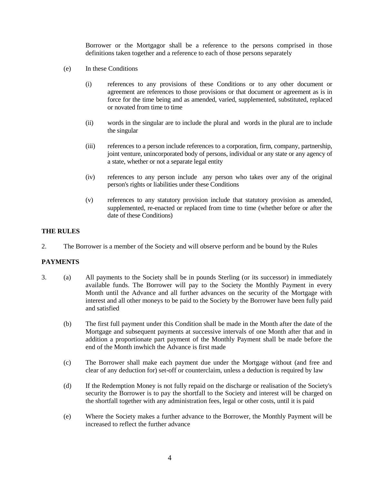Borrower or the Mortgagor shall be a reference to the persons comprised in those definitions taken together and a reference to each of those persons separately

- (e) In these Conditions
	- (i) references to any provisions of these Conditions or to any other document or agreement are references to those provisions or that document or agreement as is in force for the time being and as amended, varied, supplemented, substituted, replaced or novated from time to time
	- (ii) words in the singular are to include the plural and words in the plural are to include the singular
	- (iii) references to a person include references to a corporation, firm, company, partnership, joint venture, unincorporated body of persons, individual or any state or any agency of a state, whether or not a separate legal entity
	- (iv) references to any person include any person who takes over any of the original person's rights or liabilities under these Conditions
	- (v) references to any statutory provision include that statutory provision as amended, supplemented, re-enacted or replaced from time to time (whether before or after the date of these Conditions)

#### **THE RULES**

2. The Borrower is a member of the Society and will observe perform and be bound by the Rules

## **PAYMENTS**

- 3. (a) All payments to the Society shall be in pounds Sterling (or its successor) in immediately available funds. The Borrower will pay to the Society the Monthly Payment in every Month until the Advance and all further advances on the security of the Mortgage with interest and all other moneys to be paid to the Society by the Borrower have been fully paid and satisfied
	- (b) The first full payment under this Condition shall be made in the Month after the date of the Mortgage and subsequent payments at successive intervals of one Month after that and in addition a proportionate part payment of the Monthly Payment shall be made before the end of the Month inwhich the Advance is first made
	- (c) The Borrower shall make each payment due under the Mortgage without (and free and clear of any deduction for) set-off or counterclaim, unless a deduction is required by law
	- (d) If the Redemption Money is not fully repaid on the discharge or realisation of the Society's security the Borrower is to pay the shortfall to the Society and interest will be charged on the shortfall together with any administration fees, legal or other costs, until it is paid
	- (e) Where the Society makes a further advance to the Borrower, the Monthly Payment will be increased to reflect the further advance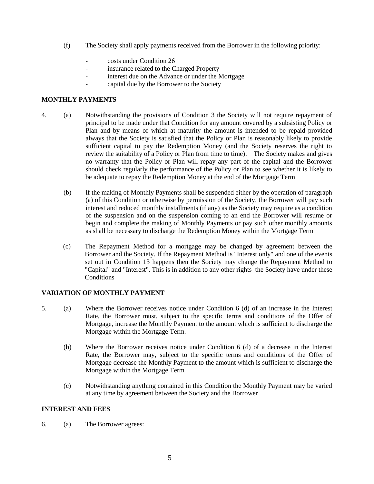- (f) The Society shall apply payments received from the Borrower in the following priority:
	- costs under Condition 26
	- insurance related to the Charged Property
	- interest due on the Advance or under the Mortgage
	- capital due by the Borrower to the Society

## **MONTHLY PAYMENTS**

- 4. (a) Notwithstanding the provisions of Condition 3 the Society will not require repayment of principal to be made under that Condition for any amount covered by a subsisting Policy or Plan and by means of which at maturity the amount is intended to be repaid provided always that the Society is satisfied that the Policy or Plan is reasonably likely to provide sufficient capital to pay the Redemption Money (and the Society reserves the right to review the suitability of a Policy or Plan from time to time). The Society makes and gives no warranty that the Policy or Plan will repay any part of the capital and the Borrower should check regularly the performance of the Policy or Plan to see whether it is likely to be adequate to repay the Redemption Money at the end of the Mortgage Term
	- (b) If the making of Monthly Payments shall be suspended either by the operation of paragraph (a) of this Condition or otherwise by permission of the Society, the Borrower will pay such interest and reduced monthly installments (if any) as the Society may require as a condition of the suspension and on the suspension coming to an end the Borrower will resume or begin and complete the making of Monthly Payments or pay such other monthly amounts as shall be necessary to discharge the Redemption Money within the Mortgage Term
	- (c) The Repayment Method for a mortgage may be changed by agreement between the Borrower and the Society. If the Repayment Method is "Interest only" and one of the events set out in Condition 13 happens then the Society may change the Repayment Method to "Capital" and "Interest". This is in addition to any other rights the Society have under these **Conditions**

# **VARIATION OF MONTHLY PAYMENT**

- 5. (a) Where the Borrower receives notice under Condition 6 (d) of an increase in the Interest Rate, the Borrower must, subject to the specific terms and conditions of the Offer of Mortgage, increase the Monthly Payment to the amount which is sufficient to discharge the Mortgage within the Mortgage Term.
	- (b) Where the Borrower receives notice under Condition 6 (d) of a decrease in the Interest Rate, the Borrower may, subject to the specific terms and conditions of the Offer of Mortgage decrease the Monthly Payment to the amount which is sufficient to discharge the Mortgage within the Mortgage Term
	- (c) Notwithstanding anything contained in this Condition the Monthly Payment may be varied at any time by agreement between the Society and the Borrower

## **INTEREST AND FEES**

6. (a) The Borrower agrees: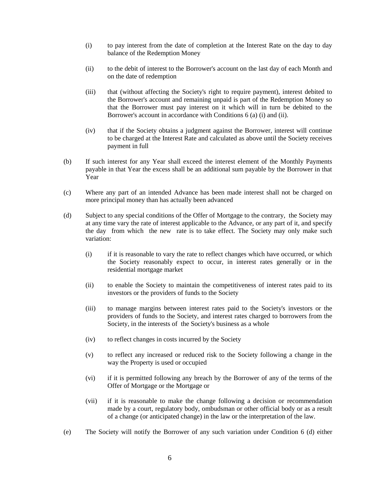- (i) to pay interest from the date of completion at the Interest Rate on the day to day balance of the Redemption Money
- (ii) to the debit of interest to the Borrower's account on the last day of each Month and on the date of redemption
- (iii) that (without affecting the Society's right to require payment), interest debited to the Borrower's account and remaining unpaid is part of the Redemption Money so that the Borrower must pay interest on it which will in turn be debited to the Borrower's account in accordance with Conditions 6 (a) (i) and (ii).
- (iv) that if the Society obtains a judgment against the Borrower, interest will continue to be charged at the Interest Rate and calculated as above until the Society receives payment in full
- (b) If such interest for any Year shall exceed the interest element of the Monthly Payments payable in that Year the excess shall be an additional sum payable by the Borrower in that Year
- (c) Where any part of an intended Advance has been made interest shall not be charged on more principal money than has actually been advanced
- (d) Subject to any special conditions of the Offer of Mortgage to the contrary, the Society may at any time vary the rate of interest applicable to the Advance, or any part of it, and specify the day from which the new rate is to take effect. The Society may only make such variation:
	- (i) if it is reasonable to vary the rate to reflect changes which have occurred, or which the Society reasonably expect to occur, in interest rates generally or in the residential mortgage market
	- (ii) to enable the Society to maintain the competitiveness of interest rates paid to its investors or the providers of funds to the Society
	- (iii) to manage margins between interest rates paid to the Society's investors or the providers of funds to the Society, and interest rates charged to borrowers from the Society, in the interests of the Society's business as a whole
	- (iv) to reflect changes in costs incurred by the Society
	- (v) to reflect any increased or reduced risk to the Society following a change in the way the Property is used or occupied
	- (vi) if it is permitted following any breach by the Borrower of any of the terms of the Offer of Mortgage or the Mortgage or
	- (vii) if it is reasonable to make the change following a decision or recommendation made by a court, regulatory body, ombudsman or other official body or as a result of a change (or anticipated change) in the law or the interpretation of the law.
- (e) The Society will notify the Borrower of any such variation under Condition 6 (d) either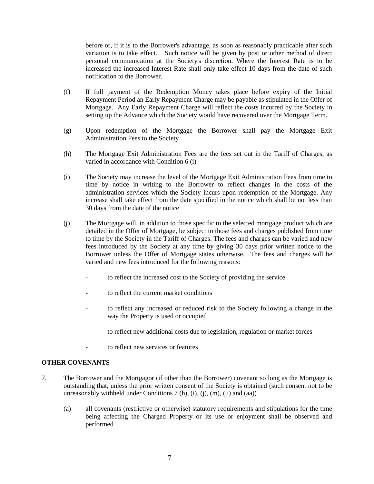before or, if it is to the Borrower's advantage, as soon as reasonably practicable after such variation is to take effect. Such notice will be given by post or other method of direct personal communication at the Society's discretion. Where the Interest Rate is to be increased the increased Interest Rate shall only take effect 10 days from the date of such notification to the Borrower.

- (f) If full payment of the Redemption Money takes place before expiry of the Initial Repayment Period an Early Repayment Charge may be payable as stipulated in the Offer of Mortgage. Any Early Repayment Charge will reflect the costs incurred by the Society in setting up the Advance which the Society would have recovered over the Mortgage Term.
- (g) Upon redemption of the Mortgage the Borrower shall pay the Mortgage Exit Administration Fees to the Society
- (h) The Mortgage Exit Administration Fees are the fees set out in the Tariff of Charges, as varied in accordance with Condition 6 (i)
- (i) The Society may increase the level of the Mortgage Exit Administration Fees from time to time by notice in writing to the Borrower to reflect changes in the costs of the administration services which the Society incurs upon redemption of the Mortgage. Any increase shall take effect from the date specified in the notice which shall be not less than 30 days from the date of the notice
- (j) The Mortgage will, in addition to those specific to the selected mortgage product which are detailed in the Offer of Mortgage, be subject to those fees and charges published from time to time by the Society in the Tariff of Charges. The fees and charges can be varied and new fees introduced by the Society at any time by giving 30 days prior written notice to the Borrower unless the Offer of Mortgage states otherwise. The fees and charges will be varied and new fees introduced for the following reasons:
	- to reflect the increased cost to the Society of providing the service
	- to reflect the current market conditions
	- to reflect any increased or reduced risk to the Society following a change in the way the Property is used or occupied
	- to reflect new additional costs due to legislation, regulation or market forces
	- to reflect new services or features

## **OTHER COVENANTS**

- 7. The Borrower and the Mortgagor (if other than the Borrower) covenant so long as the Mortgage is outstanding that, unless the prior written consent of the Society is obtained (such consent not to be unreasonably withheld under Conditions  $7(h)$ ,  $(i)$ ,  $(i)$ ,  $(m)$ ,  $(u)$  and  $(aa)$ )
	- (a) all covenants (restrictive or otherwise) statutory requirements and stipulations for the time being affecting the Charged Property or its use or enjoyment shall be observed and performed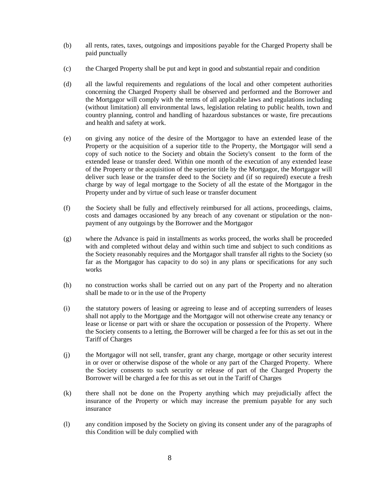- (b) all rents, rates, taxes, outgoings and impositions payable for the Charged Property shall be paid punctually
- (c) the Charged Property shall be put and kept in good and substantial repair and condition
- (d) all the lawful requirements and regulations of the local and other competent authorities concerning the Charged Property shall be observed and performed and the Borrower and the Mortgagor will comply with the terms of all applicable laws and regulations including (without limitation) all environmental laws, legislation relating to public health, town and country planning, control and handling of hazardous substances or waste, fire precautions and health and safety at work.
- (e) on giving any notice of the desire of the Mortgagor to have an extended lease of the Property or the acquisition of a superior title to the Property, the Mortgagor will send a copy of such notice to the Society and obtain the Society's consent to the form of the extended lease or transfer deed. Within one month of the execution of any extended lease of the Property or the acquisition of the superior title by the Mortgagor, the Mortgagor will deliver such lease or the transfer deed to the Society and (if so required) execute a fresh charge by way of legal mortgage to the Society of all the estate of the Mortgagor in the Property under and by virtue of such lease or transfer document
- (f) the Society shall be fully and effectively reimbursed for all actions, proceedings, claims, costs and damages occasioned by any breach of any covenant or stipulation or the nonpayment of any outgoings by the Borrower and the Mortgagor
- (g) where the Advance is paid in installments as works proceed, the works shall be proceeded with and completed without delay and within such time and subject to such conditions as the Society reasonably requires and the Mortgagor shall transfer all rights to the Society (so far as the Mortgagor has capacity to do so) in any plans or specifications for any such works
- (h) no construction works shall be carried out on any part of the Property and no alteration shall be made to or in the use of the Property
- (i) the statutory powers of leasing or agreeing to lease and of accepting surrenders of leases shall not apply to the Mortgage and the Mortgagor will not otherwise create any tenancy or lease or license or part with or share the occupation or possession of the Property. Where the Society consents to a letting, the Borrower will be charged a fee for this as set out in the Tariff of Charges
- (j) the Mortgagor will not sell, transfer, grant any charge, mortgage or other security interest in or over or otherwise dispose of the whole or any part of the Charged Property. Where the Society consents to such security or release of part of the Charged Property the Borrower will be charged a fee for this as set out in the Tariff of Charges
- (k) there shall not be done on the Property anything which may prejudicially affect the insurance of the Property or which may increase the premium payable for any such insurance
- (l) any condition imposed by the Society on giving its consent under any of the paragraphs of this Condition will be duly complied with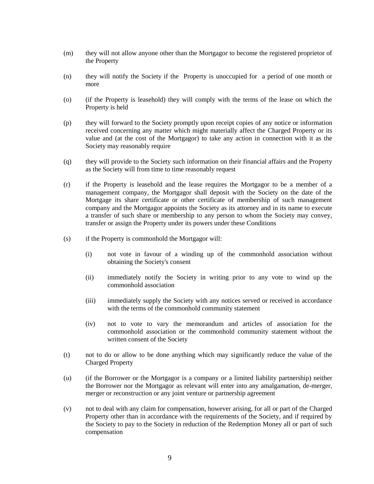- (m) they will not allow anyone other than the Mortgagor to become the registered proprietor of the Property
- (n) they will notify the Society if the Property is unoccupied for a period of one month or more
- (o) (if the Property is leasehold) they will comply with the terms of the lease on which the Property is held
- (p) they will forward to the Society promptly upon receipt copies of any notice or information received concerning any matter which might materially affect the Charged Property or its value and (at the cost of the Mortgagor) to take any action in connection with it as the Society may reasonably require
- (q) they will provide to the Society such information on their financial affairs and the Property as the Society will from time to time reasonably request
- (r) if the Property is leasehold and the lease requires the Mortgagor to be a member of a management company, the Mortgagor shall deposit with the Society on the date of the Mortgage its share certificate or other certificate of membership of such management company and the Mortgagor appoints the Society as its attorney and in its name to execute a transfer of such share or membership to any person to whom the Society may convey, transfer or assign the Property under its powers under these Conditions
- (s) if the Property is commonhold the Mortgagor will:
	- (i) not vote in favour of a winding up of the commonhold association without obtaining the Society's consent
	- (ii) immediately notify the Society in writing prior to any vote to wind up the commonhold association
	- (iii) immediately supply the Society with any notices served or received in accordance with the terms of the commonhold community statement
	- (iv) not to vote to vary the memorandum and articles of association for the commonhold association or the commonhold community statement without the written consent of the Society
- (t) not to do or allow to be done anything which may significantly reduce the value of the Charged Property
- (u) (if the Borrower or the Mortgagor is a company or a limited liability partnership) neither the Borrower nor the Mortgagor as relevant will enter into any amalgamation, de-merger, merger or reconstruction or any joint venture or partnership agreement
- (v) not to deal with any claim for compensation, however arising, for all or part of the Charged Property other than in accordance with the requirements of the Society, and if required by the Society to pay to the Society in reduction of the Redemption Money all or part of such compensation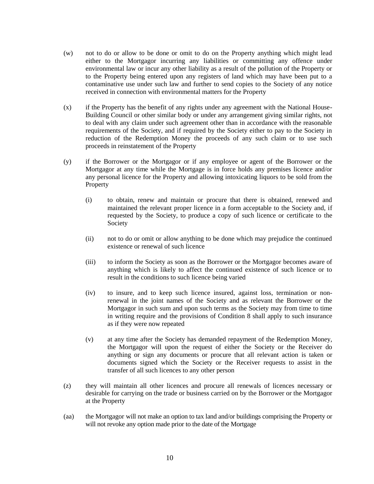- (w) not to do or allow to be done or omit to do on the Property anything which might lead either to the Mortgagor incurring any liabilities or committing any offence under environmental law or incur any other liability as a result of the pollution of the Property or to the Property being entered upon any registers of land which may have been put to a contaminative use under such law and further to send copies to the Society of any notice received in connection with environmental matters for the Property
- (x) if the Property has the benefit of any rights under any agreement with the National House-Building Council or other similar body or under any arrangement giving similar rights, not to deal with any claim under such agreement other than in accordance with the reasonable requirements of the Society, and if required by the Society either to pay to the Society in reduction of the Redemption Money the proceeds of any such claim or to use such proceeds in reinstatement of the Property
- (y) if the Borrower or the Mortgagor or if any employee or agent of the Borrower or the Mortgagor at any time while the Mortgage is in force holds any premises licence and/or any personal licence for the Property and allowing intoxicating liquors to be sold from the Property
	- (i) to obtain, renew and maintain or procure that there is obtained, renewed and maintained the relevant proper licence in a form acceptable to the Society and, if requested by the Society, to produce a copy of such licence or certificate to the Society
	- (ii) not to do or omit or allow anything to be done which may prejudice the continued existence or renewal of such licence
	- (iii) to inform the Society as soon as the Borrower or the Mortgagor becomes aware of anything which is likely to affect the continued existence of such licence or to result in the conditions to such licence being varied
	- (iv) to insure, and to keep such licence insured, against loss, termination or nonrenewal in the joint names of the Society and as relevant the Borrower or the Mortgagor in such sum and upon such terms as the Society may from time to time in writing require and the provisions of Condition 8 shall apply to such insurance as if they were now repeated
	- (v) at any time after the Society has demanded repayment of the Redemption Money, the Mortgagor will upon the request of either the Society or the Receiver do anything or sign any documents or procure that all relevant action is taken or documents signed which the Society or the Receiver requests to assist in the transfer of all such licences to any other person
- (z) they will maintain all other licences and procure all renewals of licences necessary or desirable for carrying on the trade or business carried on by the Borrower or the Mortgagor at the Property
- (aa) the Mortgagor will not make an option to tax land and/or buildings comprising the Property or will not revoke any option made prior to the date of the Mortgage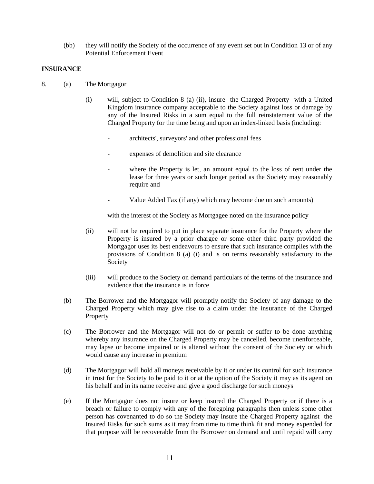(bb) they will notify the Society of the occurrence of any event set out in Condition 13 or of any Potential Enforcement Event

## **INSURANCE**

- 8. (a) The Mortgagor
	- (i) will, subject to Condition 8 (a) (ii), insure the Charged Property with a United Kingdom insurance company acceptable to the Society against loss or damage by any of the Insured Risks in a sum equal to the full reinstatement value of the Charged Property for the time being and upon an index-linked basis (including:
		- architects', surveyors' and other professional fees
		- expenses of demolition and site clearance
		- where the Property is let, an amount equal to the loss of rent under the lease for three years or such longer period as the Society may reasonably require and
		- Value Added Tax (if any) which may become due on such amounts)

with the interest of the Society as Mortgagee noted on the insurance policy

- (ii) will not be required to put in place separate insurance for the Property where the Property is insured by a prior chargee or some other third party provided the Mortgagor uses its best endeavours to ensure that such insurance complies with the provisions of Condition 8 (a) (i) and is on terms reasonably satisfactory to the Society
- (iii) will produce to the Society on demand particulars of the terms of the insurance and evidence that the insurance is in force
- (b) The Borrower and the Mortgagor will promptly notify the Society of any damage to the Charged Property which may give rise to a claim under the insurance of the Charged Property
- (c) The Borrower and the Mortgagor will not do or permit or suffer to be done anything whereby any insurance on the Charged Property may be cancelled, become unenforceable, may lapse or become impaired or is altered without the consent of the Society or which would cause any increase in premium
- (d) The Mortgagor will hold all moneys receivable by it or under its control for such insurance in trust for the Society to be paid to it or at the option of the Society it may as its agent on his behalf and in its name receive and give a good discharge for such moneys
- (e) If the Mortgagor does not insure or keep insured the Charged Property or if there is a breach or failure to comply with any of the foregoing paragraphs then unless some other person has covenanted to do so the Society may insure the Charged Property against the Insured Risks for such sums as it may from time to time think fit and money expended for that purpose will be recoverable from the Borrower on demand and until repaid will carry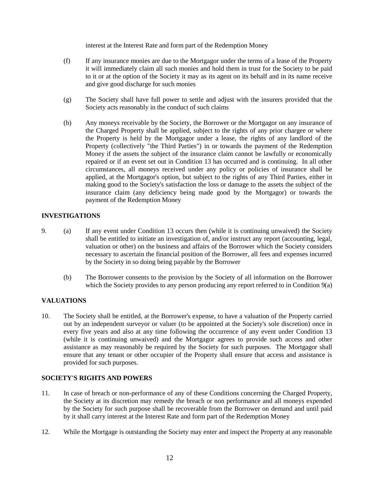interest at the Interest Rate and form part of the Redemption Money

- (f) If any insurance monies are due to the Mortgagor under the terms of a lease of the Property it will immediately claim all such monies and hold them in trust for the Society to be paid to it or at the option of the Society it may as its agent on its behalf and in its name receive and give good discharge for such monies
- (g) The Society shall have full power to settle and adjust with the insurers provided that the Society acts reasonably in the conduct of such claims
- (h) Any moneys receivable by the Society, the Borrower or the Mortgagor on any insurance of the Charged Property shall be applied, subject to the rights of any prior chargee or where the Property is held by the Mortgagor under a lease, the rights of any landlord of the Property (collectively "the Third Parties") in or towards the payment of the Redemption Money if the assets the subject of the insurance claim cannot be lawfully or economically repaired or if an event set out in Condition 13 has occurred and is continuing. In all other circumstances, all moneys received under any policy or policies of insurance shall be applied, at the Mortgagor's option, but subject to the rights of any Third Parties, either in making good to the Society's satisfaction the loss or damage to the assets the subject of the insurance claim (any deficiency being made good by the Mortgagor) or towards the payment of the Redemption Money

## **INVESTIGATIONS**

- 9. (a) If any event under Condition 13 occurs then (while it is continuing unwaived) the Society shall be entitled to initiate an investigation of, and/or instruct any report (accounting, legal, valuation or other) on the business and affairs of the Borrower which the Society considers necessary to ascertain the financial position of the Borrower, all fees and expenses incurred by the Society in so doing being payable by the Borrower
	- (b) The Borrower consents to the provision by the Society of all information on the Borrower which the Society provides to any person producing any report referred to in Condition 9(a)

# **VALUATIONS**

10. The Society shall be entitled, at the Borrower's expense, to have a valuation of the Property carried out by an independent surveyor or valuer (to be appointed at the Society's sole discretion) once in every five years and also at any time following the occurrence of any event under Condition 13 (while it is continuing unwaived) and the Mortgagor agrees to provide such access and other assistance as may reasonably be required by the Society for such purposes. The Mortgagor shall ensure that any tenant or other occupier of the Property shall ensure that access and assistance is provided for such purposes.

# **SOCIETY'S RIGHTS AND POWERS**

- 11. In case of breach or non-performance of any of these Conditions concerning the Charged Property, the Society at its discretion may remedy the breach or non performance and all moneys expended by the Society for such purpose shall be recoverable from the Borrower on demand and until paid by it shall carry interest at the Interest Rate and form part of the Redemption Money
- 12. While the Mortgage is outstanding the Society may enter and inspect the Property at any reasonable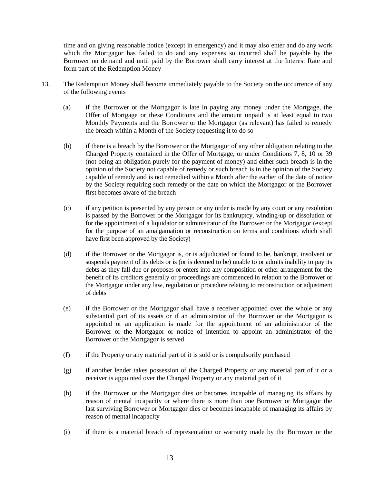time and on giving reasonable notice (except in emergency) and it may also enter and do any work which the Mortgagor has failed to do and any expenses so incurred shall be payable by the Borrower on demand and until paid by the Borrower shall carry interest at the Interest Rate and form part of the Redemption Money

- 13. The Redemption Money shall become immediately payable to the Society on the occurrence of any of the following events
	- (a) if the Borrower or the Mortgagor is late in paying any money under the Mortgage, the Offer of Mortgage or these Conditions and the amount unpaid is at least equal to two Monthly Payments and the Borrower or the Mortgagor (as relevant) has failed to remedy the breach within a Month of the Society requesting it to do so
	- (b) if there is a breach by the Borrower or the Mortgagor of any other obligation relating to the Charged Property contained in the Offer of Mortgage, or under Conditions 7, 8, 10 or 39 (not being an obligation purely for the payment of money) and either such breach is in the opinion of the Society not capable of remedy or such breach is in the opinion of the Society capable of remedy and is not remedied within a Month after the earlier of the date of notice by the Society requiring such remedy or the date on which the Mortgagor or the Borrower first becomes aware of the breach
	- (c) if any petition is presented by any person or any order is made by any court or any resolution is passed by the Borrower or the Mortgagor for its bankruptcy, winding-up or dissolution or for the appointment of a liquidator or administrator of the Borrower or the Mortgagor (except for the purpose of an amalgamation or reconstruction on terms and conditions which shall have first been approved by the Society)
	- (d) if the Borrower or the Mortgagor is, or is adjudicated or found to be, bankrupt, insolvent or suspends payment of its debts or is (or is deemed to be) unable to or admits inability to pay its debts as they fall due or proposes or enters into any composition or other arrangement for the benefit of its creditors generally or proceedings are commenced in relation to the Borrower or the Mortgagor under any law, regulation or procedure relating to reconstruction or adjustment of debts
	- (e) if the Borrower or the Mortgagor shall have a receiver appointed over the whole or any substantial part of its assets or if an administrator of the Borrower or the Mortgagor is appointed or an application is made for the appointment of an administrator of the Borrower or the Mortgagor or notice of intention to appoint an administrator of the Borrower or the Mortgagor is served
	- (f) if the Property or any material part of it is sold or is compulsorily purchased
	- (g) if another lender takes possession of the Charged Property or any material part of it or a receiver is appointed over the Charged Property or any material part of it
	- (h) if the Borrower or the Mortgagor dies or becomes incapable of managing its affairs by reason of mental incapacity or where there is more than one Borrower or Mortgagor the last surviving Borrower or Mortgagor dies or becomes incapable of managing its affairs by reason of mental incapacity
	- (i) if there is a material breach of representation or warranty made by the Borrower or the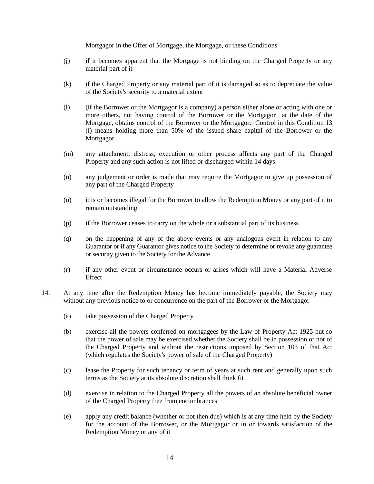Mortgagor in the Offer of Mortgage, the Mortgage, or these Conditions

- (j) if it becomes apparent that the Mortgage is not binding on the Charged Property or any material part of it
- (k) if the Charged Property or any material part of it is damaged so as to depreciate the value of the Society's security to a material extent
- (l) (if the Borrower or the Mortgagor is a company) a person either alone or acting with one or more others, not having control of the Borrower or the Mortgagor at the date of the Mortgage, obtains control of the Borrower or the Mortgagor. Control in this Condition 13 (l) means holding more than 50% of the issued share capital of the Borrower or the Mortgagor
- (m) any attachment, distress, execution or other process affects any part of the Charged Property and any such action is not lifted or discharged within 14 days
- (n) any judgement or order is made that may require the Mortgagor to give up possession of any part of the Charged Property
- (o) it is or becomes illegal for the Borrower to allow the Redemption Money or any part of it to remain outstanding
- (p) if the Borrower ceases to carry on the whole or a substantial part of its business
- (q) on the happening of any of the above events or any analogous event in relation to any Guarantor or if any Guarantor gives notice to the Society to determine or revoke any guarantee or security given to the Society for the Advance
- (r) if any other event or circumstance occurs or arises which will have a Material Adverse Effect
- 14. At any time after the Redemption Money has become immediately payable, the Society may without any previous notice to or concurrence on the part of the Borrower or the Mortgagor
	- (a) take possession of the Charged Property
	- (b) exercise all the powers conferred on mortgagees by the Law of Property Act 1925 but so that the power of sale may be exercised whether the Society shall be in possession or not of the Charged Property and without the restrictions imposed by Section 103 of that Act (which regulates the Society's power of sale of the Charged Property)
	- (c) lease the Property for such tenancy or term of years at such rent and generally upon such terms as the Society at its absolute discretion shall think fit
	- (d) exercise in relation to the Charged Property all the powers of an absolute beneficial owner of the Charged Property free from encumbrances
	- (e) apply any credit balance (whether or not then due) which is at any time held by the Society for the account of the Borrower, or the Mortgagor or in or towards satisfaction of the Redemption Money or any of it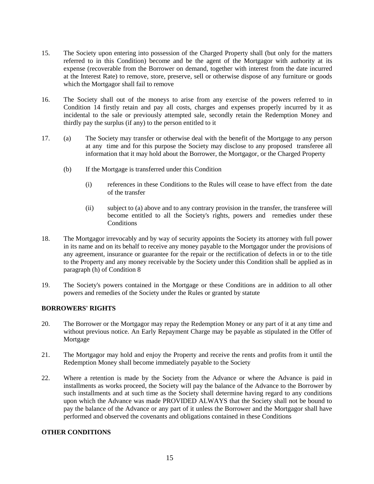- 15. The Society upon entering into possession of the Charged Property shall (but only for the matters referred to in this Condition) become and be the agent of the Mortgagor with authority at its expense (recoverable from the Borrower on demand, together with interest from the date incurred at the Interest Rate) to remove, store, preserve, sell or otherwise dispose of any furniture or goods which the Mortgagor shall fail to remove
- 16. The Society shall out of the moneys to arise from any exercise of the powers referred to in Condition 14 firstly retain and pay all costs, charges and expenses properly incurred by it as incidental to the sale or previously attempted sale, secondly retain the Redemption Money and thirdly pay the surplus (if any) to the person entitled to it
- 17. (a) The Society may transfer or otherwise deal with the benefit of the Mortgage to any person at any time and for this purpose the Society may disclose to any proposed transferee all information that it may hold about the Borrower, the Mortgagor, or the Charged Property
	- (b) If the Mortgage is transferred under this Condition
		- (i) references in these Conditions to the Rules will cease to have effect from the date of the transfer
		- (ii) subject to (a) above and to any contrary provision in the transfer, the transferee will become entitled to all the Society's rights, powers and remedies under these **Conditions**
- 18. The Mortgagor irrevocably and by way of security appoints the Society its attorney with full power in its name and on its behalf to receive any money payable to the Mortgagor under the provisions of any agreement, insurance or guarantee for the repair or the rectification of defects in or to the title to the Property and any money receivable by the Society under this Condition shall be applied as in paragraph (h) of Condition 8
- 19. The Society's powers contained in the Mortgage or these Conditions are in addition to all other powers and remedies of the Society under the Rules or granted by statute

## **BORROWERS' RIGHTS**

- 20. The Borrower or the Mortgagor may repay the Redemption Money or any part of it at any time and without previous notice. An Early Repayment Charge may be payable as stipulated in the Offer of Mortgage
- 21. The Mortgagor may hold and enjoy the Property and receive the rents and profits from it until the Redemption Money shall become immediately payable to the Society
- 22. Where a retention is made by the Society from the Advance or where the Advance is paid in installments as works proceed, the Society will pay the balance of the Advance to the Borrower by such installments and at such time as the Society shall determine having regard to any conditions upon which the Advance was made PROVIDED ALWAYS that the Society shall not be bound to pay the balance of the Advance or any part of it unless the Borrower and the Mortgagor shall have performed and observed the covenants and obligations contained in these Conditions

# **OTHER CONDITIONS**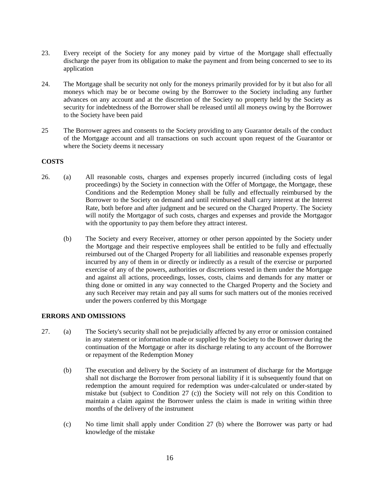- 23. Every receipt of the Society for any money paid by virtue of the Mortgage shall effectually discharge the payer from its obligation to make the payment and from being concerned to see to its application
- 24. The Mortgage shall be security not only for the moneys primarily provided for by it but also for all moneys which may be or become owing by the Borrower to the Society including any further advances on any account and at the discretion of the Society no property held by the Society as security for indebtedness of the Borrower shall be released until all moneys owing by the Borrower to the Society have been paid
- 25 The Borrower agrees and consents to the Society providing to any Guarantor details of the conduct of the Mortgage account and all transactions on such account upon request of the Guarantor or where the Society deems it necessary

## **COSTS**

- 26. (a) All reasonable costs, charges and expenses properly incurred (including costs of legal proceedings) by the Society in connection with the Offer of Mortgage, the Mortgage, these Conditions and the Redemption Money shall be fully and effectually reimbursed by the Borrower to the Society on demand and until reimbursed shall carry interest at the Interest Rate, both before and after judgment and be secured on the Charged Property. The Society will notify the Mortgagor of such costs, charges and expenses and provide the Mortgagor with the opportunity to pay them before they attract interest.
	- (b) The Society and every Receiver, attorney or other person appointed by the Society under the Mortgage and their respective employees shall be entitled to be fully and effectually reimbursed out of the Charged Property for all liabilities and reasonable expenses properly incurred by any of them in or directly or indirectly as a result of the exercise or purported exercise of any of the powers, authorities or discretions vested in them under the Mortgage and against all actions, proceedings, losses, costs, claims and demands for any matter or thing done or omitted in any way connected to the Charged Property and the Society and any such Receiver may retain and pay all sums for such matters out of the monies received under the powers conferred by this Mortgage

## **ERRORS AND OMISSIONS**

- 27. (a) The Society's security shall not be prejudicially affected by any error or omission contained in any statement or information made or supplied by the Society to the Borrower during the continuation of the Mortgage or after its discharge relating to any account of the Borrower or repayment of the Redemption Money
	- (b) The execution and delivery by the Society of an instrument of discharge for the Mortgage shall not discharge the Borrower from personal liability if it is subsequently found that on redemption the amount required for redemption was under-calculated or under-stated by mistake but (subject to Condition 27 (c)) the Society will not rely on this Condition to maintain a claim against the Borrower unless the claim is made in writing within three months of the delivery of the instrument
	- (c) No time limit shall apply under Condition 27 (b) where the Borrower was party or had knowledge of the mistake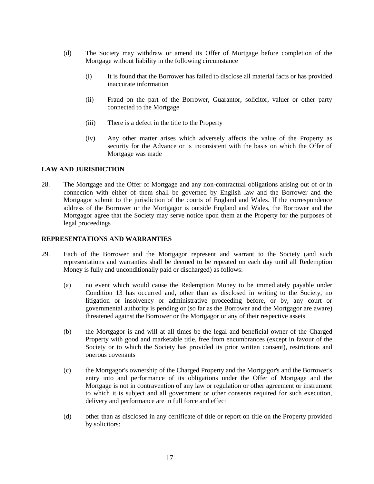- (d) The Society may withdraw or amend its Offer of Mortgage before completion of the Mortgage without liability in the following circumstance
	- (i) It is found that the Borrower has failed to disclose all material facts or has provided inaccurate information
	- (ii) Fraud on the part of the Borrower, Guarantor, solicitor, valuer or other party connected to the Mortgage
	- (iii) There is a defect in the title to the Property
	- (iv) Any other matter arises which adversely affects the value of the Property as security for the Advance or is inconsistent with the basis on which the Offer of Mortgage was made

## **LAW AND JURISDICTION**

28. The Mortgage and the Offer of Mortgage and any non-contractual obligations arising out of or in connection with either of them shall be governed by English law and the Borrower and the Mortgagor submit to the jurisdiction of the courts of England and Wales. If the correspondence address of the Borrower or the Mortgagor is outside England and Wales, the Borrower and the Mortgagor agree that the Society may serve notice upon them at the Property for the purposes of legal proceedings

#### **REPRESENTATIONS AND WARRANTIES**

- 29. Each of the Borrower and the Mortgagor represent and warrant to the Society (and such representations and warranties shall be deemed to be repeated on each day until all Redemption Money is fully and unconditionally paid or discharged) as follows:
	- (a) no event which would cause the Redemption Money to be immediately payable under Condition 13 has occurred and, other than as disclosed in writing to the Society, no litigation or insolvency or administrative proceeding before, or by, any court or governmental authority is pending or (so far as the Borrower and the Mortgagor are aware) threatened against the Borrower or the Mortgagor or any of their respective assets
	- (b) the Mortgagor is and will at all times be the legal and beneficial owner of the Charged Property with good and marketable title, free from encumbrances (except in favour of the Society or to which the Society has provided its prior written consent), restrictions and onerous covenants
	- (c) the Mortgagor's ownership of the Charged Property and the Mortgagor's and the Borrower's entry into and performance of its obligations under the Offer of Mortgage and the Mortgage is not in contravention of any law or regulation or other agreement or instrument to which it is subject and all government or other consents required for such execution, delivery and performance are in full force and effect
	- (d) other than as disclosed in any certificate of title or report on title on the Property provided by solicitors: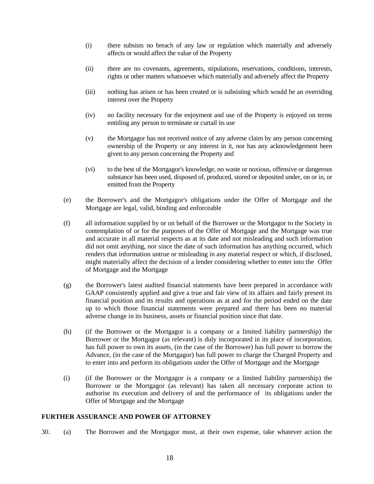- (i) there subsists no breach of any law or regulation which materially and adversely affects or would affect the value of the Property
- (ii) there are no covenants, agreements, stipulations, reservations, conditions, interests, rights or other matters whatsoever which materially and adversely affect the Property
- (iii) nothing has arisen or has been created or is subsisting which would be an overriding interest over the Property
- (iv) no facility necessary for the enjoyment and use of the Property is enjoyed on terms entitling any person to terminate or curtail its use
- (v) the Mortgagor has not received notice of any adverse claim by any person concerning ownership of the Property or any interest in it, nor has any acknowledgement been given to any person concerning the Property and
- (vi) to the best of the Mortgagor's knowledge, no waste or noxious, offensive or dangerous substance has been used, disposed of, produced, stored or deposited under, on or in, or emitted from the Property
- (e) the Borrower's and the Mortgagor's obligations under the Offer of Mortgage and the Mortgage are legal, valid, binding and enforceable
- (f) all information supplied by or on behalf of the Borrower or the Mortgagor to the Society in contemplation of or for the purposes of the Offer of Mortgage and the Mortgage was true and accurate in all material respects as at its date and not misleading and such information did not omit anything, nor since the date of such information has anything occurred, which renders that information untrue or misleading in any material respect or which, if disclosed, might materially affect the decision of a lender considering whether to enter into the Offer of Mortgage and the Mortgage
- (g) the Borrower's latest audited financial statements have been prepared in accordance with GAAP consistently applied and give a true and fair view of its affairs and fairly present its financial position and its results and operations as at and for the period ended on the date up to which those financial statements were prepared and there has been no material adverse change in its business, assets or financial position since that date.
- (h) (if the Borrower or the Mortgagor is a company or a limited liability partnership) the Borrower or the Mortgagor (as relevant) is duly incorporated in its place of incorporation, has full power to own its assets, (in the case of the Borrower) has full power to borrow the Advance, (in the case of the Mortgagor) has full power to charge the Charged Property and to enter into and perform its obligations under the Offer of Mortgage and the Mortgage
- (i) (if the Borrower or the Mortgagor is a company or a limited liability partnership) the Borrower or the Mortgagor (as relevant) has taken all necessary corporate action to authorise its execution and delivery of and the performance of its obligations under the Offer of Mortgage and the Mortgage

## **FURTHER ASSURANCE AND POWER OF ATTORNEY**

30. (a) The Borrower and the Mortgagor must, at their own expense, take whatever action the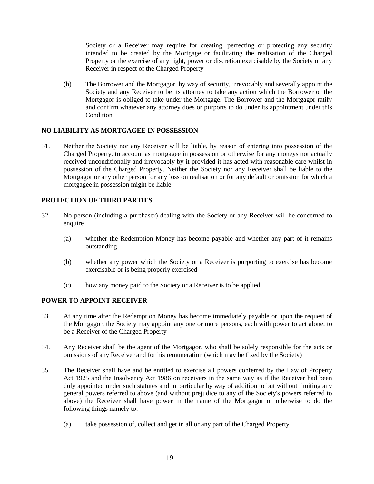Society or a Receiver may require for creating, perfecting or protecting any security intended to be created by the Mortgage or facilitating the realisation of the Charged Property or the exercise of any right, power or discretion exercisable by the Society or any Receiver in respect of the Charged Property

(b) The Borrower and the Mortgagor, by way of security, irrevocably and severally appoint the Society and any Receiver to be its attorney to take any action which the Borrower or the Mortgagor is obliged to take under the Mortgage. The Borrower and the Mortgagor ratify and confirm whatever any attorney does or purports to do under its appointment under this Condition

## **NO LIABILITY AS MORTGAGEE IN POSSESSION**

31. Neither the Society nor any Receiver will be liable, by reason of entering into possession of the Charged Property, to account as mortgagee in possession or otherwise for any moneys not actually received unconditionally and irrevocably by it provided it has acted with reasonable care whilst in possession of the Charged Property. Neither the Society nor any Receiver shall be liable to the Mortgagor or any other person for any loss on realisation or for any default or omission for which a mortgagee in possession might be liable

## **PROTECTION OF THIRD PARTIES**

- 32. No person (including a purchaser) dealing with the Society or any Receiver will be concerned to enquire
	- (a) whether the Redemption Money has become payable and whether any part of it remains outstanding
	- (b) whether any power which the Society or a Receiver is purporting to exercise has become exercisable or is being properly exercised
	- (c) how any money paid to the Society or a Receiver is to be applied

## **POWER TO APPOINT RECEIVER**

- 33. At any time after the Redemption Money has become immediately payable or upon the request of the Mortgagor, the Society may appoint any one or more persons, each with power to act alone, to be a Receiver of the Charged Property
- 34. Any Receiver shall be the agent of the Mortgagor, who shall be solely responsible for the acts or omissions of any Receiver and for his remuneration (which may be fixed by the Society)
- 35. The Receiver shall have and be entitled to exercise all powers conferred by the Law of Property Act 1925 and the Insolvency Act 1986 on receivers in the same way as if the Receiver had been duly appointed under such statutes and in particular by way of addition to but without limiting any general powers referred to above (and without prejudice to any of the Society's powers referred to above) the Receiver shall have power in the name of the Mortgagor or otherwise to do the following things namely to:
	- (a) take possession of, collect and get in all or any part of the Charged Property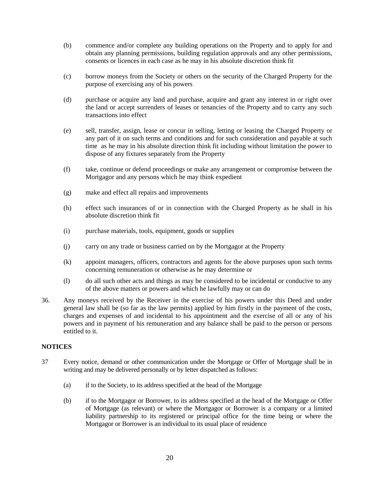- (b) commence and/or complete any building operations on the Property and to apply for and obtain any planning permissions, building regulation approvals and any other permissions, consents or licences in each case as he may in his absolute discretion think fit
- (c) borrow moneys from the Society or others on the security of the Charged Property for the purpose of exercising any of his powers
- (d) purchase or acquire any land and purchase, acquire and grant any interest in or right over the land or accept surrenders of leases or tenancies of the Property and to carry any such transactions into effect
- (e) sell, transfer, assign, lease or concur in selling, letting or leasing the Charged Property or any part of it on such terms and conditions and for such consideration and payable at such time as he may in his absolute direction think fit including without limitation the power to dispose of any fixtures separately from the Property
- (f) take, continue or defend proceedings or make any arrangement or compromise between the Mortgagor and any persons which he may think expedient
- (g) make and effect all repairs and improvements
- (h) effect such insurances of or in connection with the Charged Property as he shall in his absolute discretion think fit
- (i) purchase materials, tools, equipment, goods or supplies
- (j) carry on any trade or business carried on by the Mortgagor at the Property
- (k) appoint managers, officers, contractors and agents for the above purposes upon such terms concerning remuneration or otherwise as he may determine or
- (l) do all such other acts and things as may be considered to be incidental or conducive to any of the above matters or powers and which he lawfully may or can do
- 36. Any moneys received by the Receiver in the exercise of his powers under this Deed and under general law shall be (so far as the law permits) applied by him firstly in the payment of the costs, charges and expenses of and incidental to his appointment and the exercise of all or any of his powers and in payment of his remuneration and any balance shall be paid to the person or persons entitled to it.

## **NOTICES**

- 37 Every notice, demand or other communication under the Mortgage or Offer of Mortgage shall be in writing and may be delivered personally or by letter dispatched as follows:
	- (a) if to the Society, to its address specified at the head of the Mortgage
	- (b) if to the Mortgagor or Borrower, to its address specified at the head of the Mortgage or Offer of Mortgage (as relevant) or where the Mortgagor or Borrower is a company or a limited liability partnership to its registered or principal office for the time being or where the Mortgagor or Borrower is an individual to its usual place of residence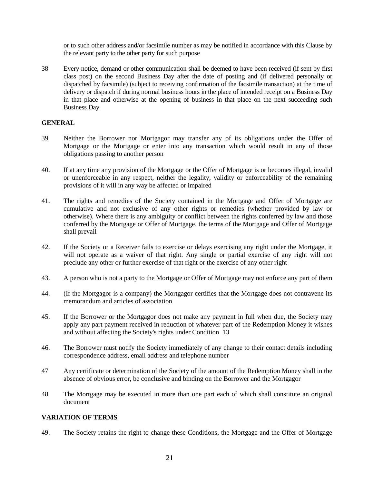or to such other address and/or facsimile number as may be notified in accordance with this Clause by the relevant party to the other party for such purpose

38 Every notice, demand or other communication shall be deemed to have been received (if sent by first class post) on the second Business Day after the date of posting and (if delivered personally or dispatched by facsimile) (subject to receiving confirmation of the facsimile transaction) at the time of delivery or dispatch if during normal business hours in the place of intended receipt on a Business Day in that place and otherwise at the opening of business in that place on the next succeeding such Business Day

#### **GENERAL**

- 39 Neither the Borrower nor Mortgagor may transfer any of its obligations under the Offer of Mortgage or the Mortgage or enter into any transaction which would result in any of those obligations passing to another person
- 40. If at any time any provision of the Mortgage or the Offer of Mortgage is or becomes illegal, invalid or unenforceable in any respect, neither the legality, validity or enforceability of the remaining provisions of it will in any way be affected or impaired
- 41. The rights and remedies of the Society contained in the Mortgage and Offer of Mortgage are cumulative and not exclusive of any other rights or remedies (whether provided by law or otherwise). Where there is any ambiguity or conflict between the rights conferred by law and those conferred by the Mortgage or Offer of Mortgage, the terms of the Mortgage and Offer of Mortgage shall prevail
- 42. If the Society or a Receiver fails to exercise or delays exercising any right under the Mortgage, it will not operate as a waiver of that right. Any single or partial exercise of any right will not preclude any other or further exercise of that right or the exercise of any other right
- 43. A person who is not a party to the Mortgage or Offer of Mortgage may not enforce any part of them
- 44. (If the Mortgagor is a company) the Mortgagor certifies that the Mortgage does not contravene its memorandum and articles of association
- 45. If the Borrower or the Mortgagor does not make any payment in full when due, the Society may apply any part payment received in reduction of whatever part of the Redemption Money it wishes and without affecting the Society's rights under Condition 13
- 46. The Borrower must notify the Society immediately of any change to their contact details including correspondence address, email address and telephone number
- 47 Any certificate or determination of the Society of the amount of the Redemption Money shall in the absence of obvious error, be conclusive and binding on the Borrower and the Mortgagor
- 48 The Mortgage may be executed in more than one part each of which shall constitute an original document

## **VARIATION OF TERMS**

49. The Society retains the right to change these Conditions, the Mortgage and the Offer of Mortgage